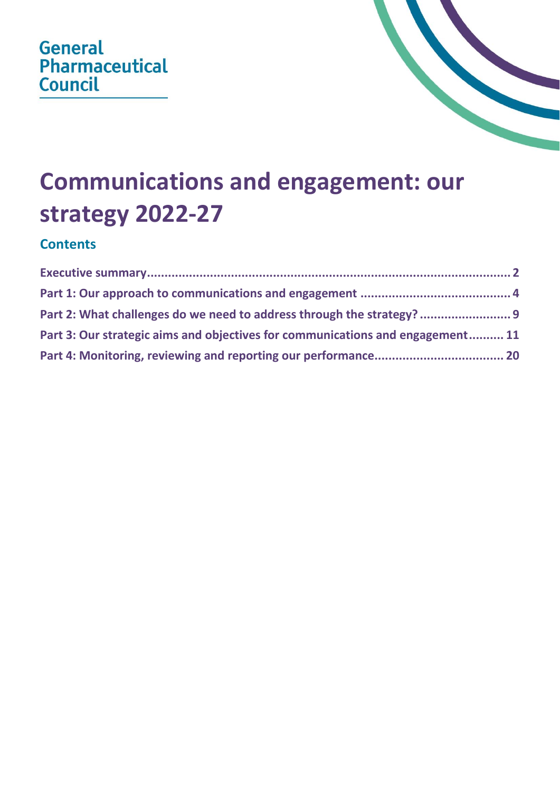



## **Communications and engagement: our strategy 2022-27**

## **Contents**

| Part 2: What challenges do we need to address through the strategy?<br>Part 3: Our strategic aims and objectives for communications and engagement 11 |  |  |
|-------------------------------------------------------------------------------------------------------------------------------------------------------|--|--|
|                                                                                                                                                       |  |  |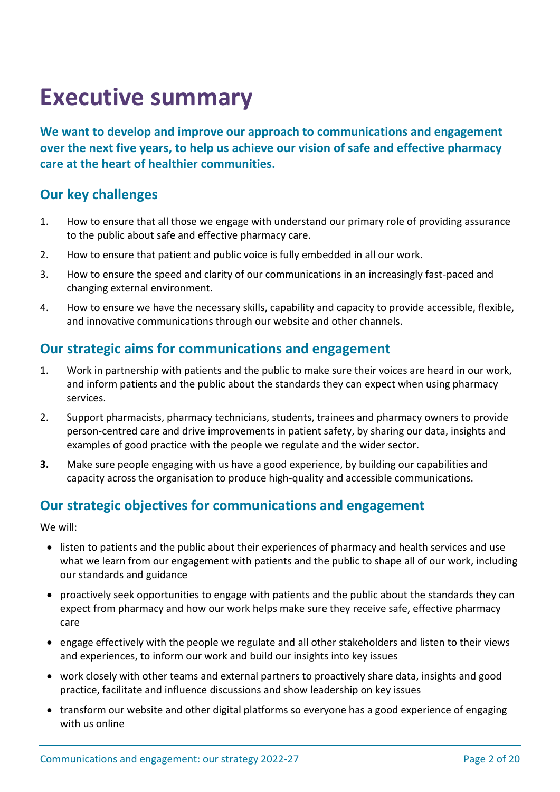## <span id="page-1-0"></span>**Executive summary**

**We want to develop and improve our approach to communications and engagement over the next five years, to help us achieve our vision of safe and effective pharmacy care at the heart of healthier communities.**

## **Our key challenges**

- 1. How to ensure that all those we engage with understand our primary role of providing assurance to the public about safe and effective pharmacy care.
- 2. How to ensure that patient and public voice is fully embedded in all our work.
- 3. How to ensure the speed and clarity of our communications in an increasingly fast-paced and changing external environment.
- 4. How to ensure we have the necessary skills, capability and capacity to provide accessible, flexible, and innovative communications through our website and other channels.

## **Our strategic aims for communications and engagement**

- 1. Work in partnership with patients and the public to make sure their voices are heard in our work, and inform patients and the public about the standards they can expect when using pharmacy services.
- 2. Support pharmacists, pharmacy technicians, students, trainees and pharmacy owners to provide person-centred care and drive improvements in patient safety, by sharing our data, insights and examples of good practice with the people we regulate and the wider sector.
- **3.** Make sure people engaging with us have a good experience, by building our capabilities and capacity across the organisation to produce high-quality and accessible communications.

## **Our strategic objectives for communications and engagement**

We will:

- listen to patients and the public about their experiences of pharmacy and health services and use what we learn from our engagement with patients and the public to shape all of our work, including our standards and guidance
- proactively seek opportunities to engage with patients and the public about the standards they can expect from pharmacy and how our work helps make sure they receive safe, effective pharmacy care
- engage effectively with the people we regulate and all other stakeholders and listen to their views and experiences, to inform our work and build our insights into key issues
- work closely with other teams and external partners to proactively share data, insights and good practice, facilitate and influence discussions and show leadership on key issues
- transform our website and other digital platforms so everyone has a good experience of engaging with us online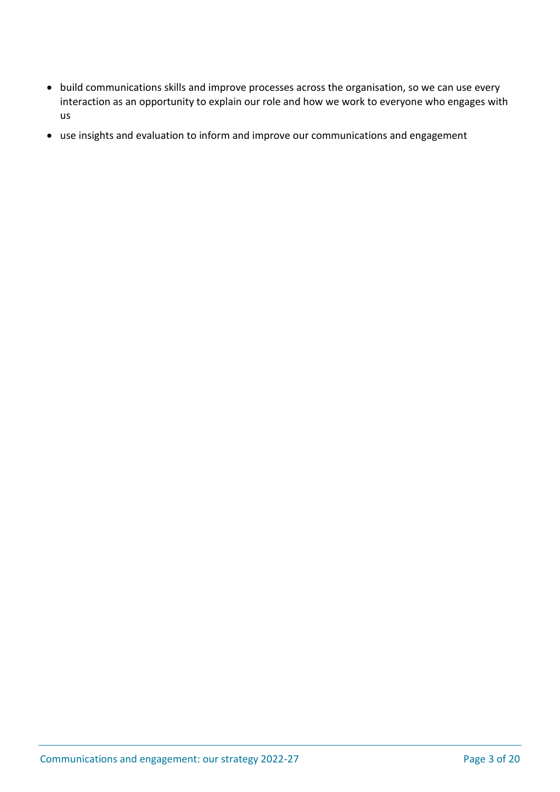- build communications skills and improve processes across the organisation, so we can use every interaction as an opportunity to explain our role and how we work to everyone who engages with us
- use insights and evaluation to inform and improve our communications and engagement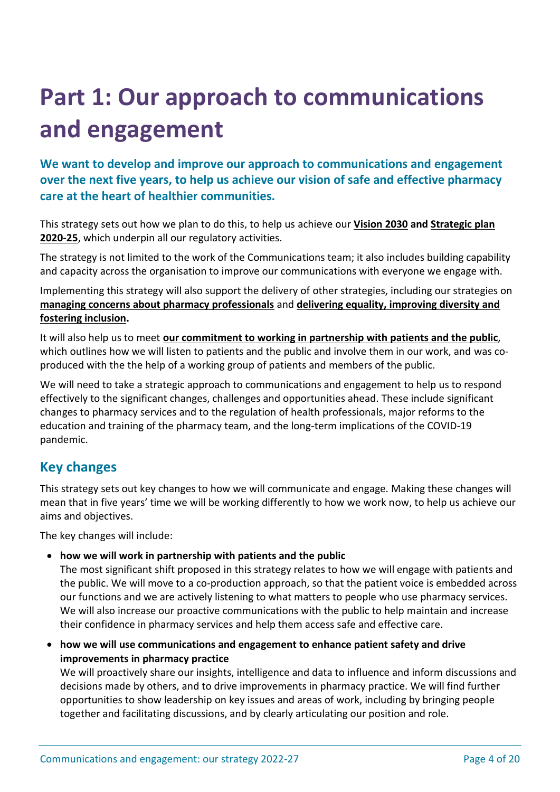# <span id="page-3-0"></span>**Part 1: Our approach to communications and engagement**

**We want to develop and improve our approach to communications and engagement over the next five years, to help us achieve our vision of safe and effective pharmacy care at the heart of healthier communities.**

This strategy sets out how we plan to do this, to help us achieve our **[Vision 2030](https://www.pharmacyregulation.org/sites/default/files/document/gphc-vision-2030.pdf) and [Strategic plan](https://www.pharmacyregulation.org/sites/default/files/document/gphc-strategic-plan-2020-25-year-two-april-2021.pdf)  [2020-25](https://www.pharmacyregulation.org/sites/default/files/document/gphc-strategic-plan-2020-25-year-two-april-2021.pdf)**, which underpin all our regulatory activities.

The strategy is not limited to the work of the Communications team; it also includes building capability and capacity across the organisation to improve our communications with everyone we engage with.

Implementing this strategy will also support the delivery of other strategies, including our strategies on **[managing concerns about pharmacy professionals](https://www.pharmacyregulation.org/sites/default/files/document/managing-concerns-pharmacy-professionals-our_strategy-for-change-2021-26-july-2021.pdf)** and **[delivering equality, improving diversity and](https://www.pharmacyregulation.org/sites/default/files/document/gphc-equality-diversity-inclusion-strategy-november-2021.pdf)  [fostering inclusion.](https://www.pharmacyregulation.org/sites/default/files/document/gphc-equality-diversity-inclusion-strategy-november-2021.pdf)**

It will also help us to meet **[our commitment to working in partnership with patients and the public](https://www.pharmacyregulation.org/about-us/who-we-work/listening-and-learning-our-commitment-work-patients-and-public)***,* which outlines how we will listen to patients and the public and involve them in our work, and was coproduced with the the help of a working group of patients and members of the public.

We will need to take a strategic approach to communications and engagement to help us to respond effectively to the significant changes, challenges and opportunities ahead. These include significant changes to pharmacy services and to the regulation of health professionals, major reforms to the education and training of the pharmacy team, and the long-term implications of the COVID-19 pandemic.

## **Key changes**

This strategy sets out key changes to how we will communicate and engage. Making these changes will mean that in five years' time we will be working differently to how we work now, to help us achieve our aims and objectives.

The key changes will include:

• **how we will work in partnership with patients and the public**

The most significant shift proposed in this strategy relates to how we will engage with patients and the public. We will move to a co-production approach, so that the patient voice is embedded across our functions and we are actively listening to what matters to people who use pharmacy services. We will also increase our proactive communications with the public to help maintain and increase their confidence in pharmacy services and help them access safe and effective care.

• **how we will use communications and engagement to enhance patient safety and drive improvements in pharmacy practice** 

We will proactively share our insights, intelligence and data to influence and inform discussions and decisions made by others, and to drive improvements in pharmacy practice. We will find further opportunities to show leadership on key issues and areas of work, including by bringing people together and facilitating discussions, and by clearly articulating our position and role.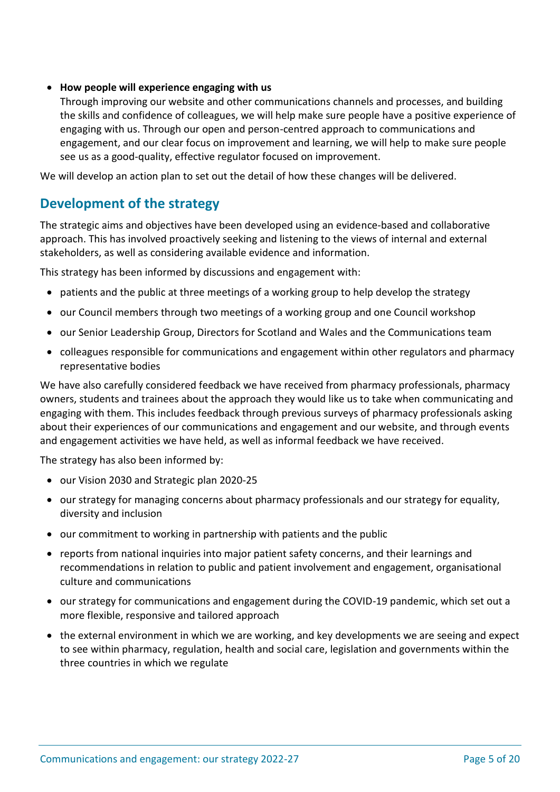#### • **How people will experience engaging with us**

Through improving our website and other communications channels and processes, and building the skills and confidence of colleagues, we will help make sure people have a positive experience of engaging with us. Through our open and person-centred approach to communications and engagement, and our clear focus on improvement and learning, we will help to make sure people see us as a good-quality, effective regulator focused on improvement.

We will develop an action plan to set out the detail of how these changes will be delivered.

## **Development of the strategy**

The strategic aims and objectives have been developed using an evidence-based and collaborative approach. This has involved proactively seeking and listening to the views of internal and external stakeholders, as well as considering available evidence and information.

This strategy has been informed by discussions and engagement with:

- patients and the public at three meetings of a working group to help develop the strategy
- our Council members through two meetings of a working group and one Council workshop
- our Senior Leadership Group, Directors for Scotland and Wales and the Communications team
- colleagues responsible for communications and engagement within other regulators and pharmacy representative bodies

We have also carefully considered feedback we have received from pharmacy professionals, pharmacy owners, students and trainees about the approach they would like us to take when communicating and engaging with them. This includes feedback through previous surveys of pharmacy professionals asking about their experiences of our communications and engagement and our website, and through events and engagement activities we have held, as well as informal feedback we have received.

The strategy has also been informed by:

- our Vision 2030 and Strategic plan 2020-25
- our strategy for managing concerns about pharmacy professionals and our strategy for equality, diversity and inclusion
- our commitment to working in partnership with patients and the public
- reports from national inquiries into major patient safety concerns, and their learnings and recommendations in relation to public and patient involvement and engagement, organisational culture and communications
- our strategy for communications and engagement during the COVID-19 pandemic, which set out a more flexible, responsive and tailored approach
- the external environment in which we are working, and key developments we are seeing and expect to see within pharmacy, regulation, health and social care, legislation and governments within the three countries in which we regulate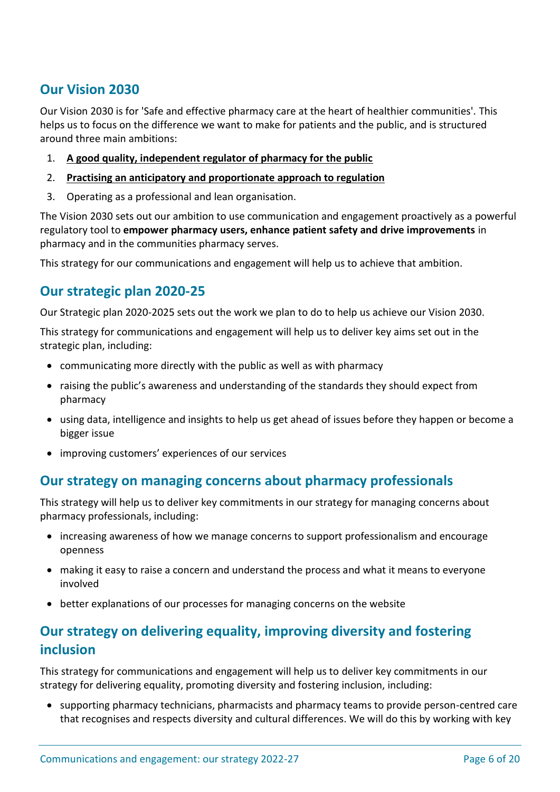## **Our Vision 2030**

Our Vision 2030 is for 'Safe and effective pharmacy care at the heart of healthier communities'. This helps us to focus on the difference we want to make for patients and the public, and is structured around three main ambitions:

- 1. **[A good quality, independent regulator of pharmacy for the public](https://pharmacyregulation.sharepoint.com/sites/Infopoint/cdl/Documents/Chief%20Executive%20department/Vison%20and%20strategy/Explanatory%20Note%20-%20A%20good%20quality%20independent%20regulator%20of%20pharmacy%20for%20the%20public_Feb%202020_v0.1%20updated.pdf)**
- 2. **[Practising an anticipatory and proportionate approach to regulation](https://pharmacyregulation.sharepoint.com/sites/Infopoint/cdl/Documents/Chief%20Executive%20department/Vison%20and%20strategy/Explanatory%20Note%20%20-%20Practising%20an%20anticpatory%20and%20proportionate%20approach%20to%20regulation_Feb%202020_v0.1%20updated.pdf)**
- 3. Operating as a professional and lean organisation.

The Vision 2030 sets out our ambition to use communication and engagement proactively as a powerful regulatory tool to **empower pharmacy users, enhance patient safety and drive improvements** in pharmacy and in the communities pharmacy serves.

This strategy for our communications and engagement will help us to achieve that ambition.

## **Our strategic plan 2020-25**

Our Strategic plan 2020-2025 sets out the work we plan to do to help us achieve our Vision 2030.

This strategy for communications and engagement will help us to deliver key aims set out in the strategic plan, including:

- communicating more directly with the public as well as with pharmacy
- raising the public's awareness and understanding of the standards they should expect from pharmacy
- using data, intelligence and insights to help us get ahead of issues before they happen or become a bigger issue
- improving customers' experiences of our services

## **Our strategy on managing concerns about pharmacy professionals**

This strategy will help us to deliver key commitments in our strategy for managing concerns about pharmacy professionals, including:

- increasing awareness of how we manage concerns to support professionalism and encourage openness
- making it easy to raise a concern and understand the process and what it means to everyone involved
- better explanations of our processes for managing concerns on the website

## **Our strategy on delivering equality, improving diversity and fostering inclusion**

This strategy for communications and engagement will help us to deliver key commitments in our strategy for delivering equality, promoting diversity and fostering inclusion, including:

• supporting pharmacy technicians, pharmacists and pharmacy teams to provide person-centred care that recognises and respects diversity and cultural differences. We will do this by working with key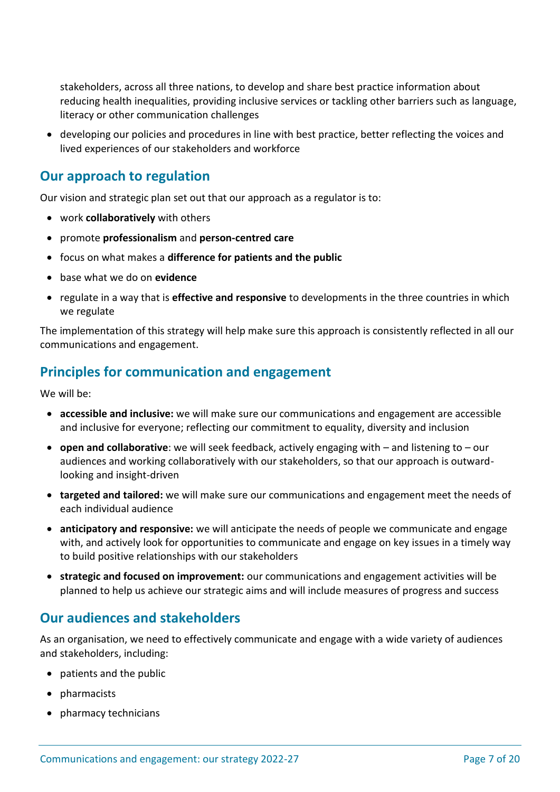stakeholders, across all three nations, to develop and share best practice information about reducing health inequalities, providing inclusive services or tackling other barriers such as language, literacy or other communication challenges

• developing our policies and procedures in line with best practice, better reflecting the voices and lived experiences of our stakeholders and workforce

## **Our approach to regulation**

Our vision and strategic plan set out that our approach as a regulator is to:

- work **collaboratively** with others
- promote **professionalism** and **person-centred care**
- focus on what makes a **difference for patients and the public**
- base what we do on **evidence**
- regulate in a way that is **effective and responsive** to developments in the three countries in which we regulate

The implementation of this strategy will help make sure this approach is consistently reflected in all our communications and engagement.

## **Principles for communication and engagement**

We will be:

- **accessible and inclusive:** we will make sure our communications and engagement are accessible and inclusive for everyone; reflecting our commitment to equality, diversity and inclusion
- **open and collaborative**: we will seek feedback, actively engaging with and listening to our audiences and working collaboratively with our stakeholders, so that our approach is outwardlooking and insight-driven
- **targeted and tailored:** we will make sure our communications and engagement meet the needs of each individual audience
- **anticipatory and responsive:** we will anticipate the needs of people we communicate and engage with, and actively look for opportunities to communicate and engage on key issues in a timely way to build positive relationships with our stakeholders
- **strategic and focused on improvement:** our communications and engagement activities will be planned to help us achieve our strategic aims and will include measures of progress and success

## **Our audiences and stakeholders**

As an organisation, we need to effectively communicate and engage with a wide variety of audiences and stakeholders, including:

- patients and the public
- pharmacists
- pharmacy technicians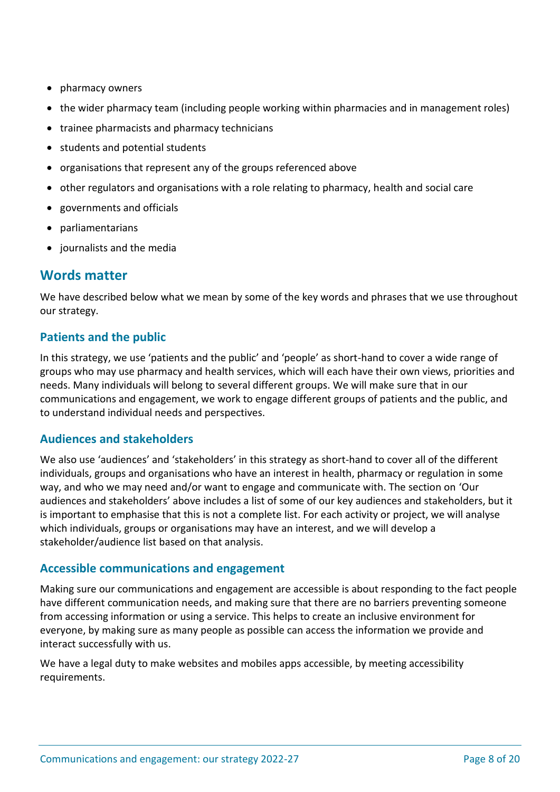- pharmacy owners
- the wider pharmacy team (including people working within pharmacies and in management roles)
- trainee pharmacists and pharmacy technicians
- students and potential students
- organisations that represent any of the groups referenced above
- other regulators and organisations with a role relating to pharmacy, health and social care
- governments and officials
- parliamentarians
- journalists and the media

## **Words matter**

We have described below what we mean by some of the key words and phrases that we use throughout our strategy.

### **Patients and the public**

In this strategy, we use 'patients and the public' and 'people' as short-hand to cover a wide range of groups who may use pharmacy and health services, which will each have their own views, priorities and needs. Many individuals will belong to several different groups. We will make sure that in our communications and engagement, we work to engage different groups of patients and the public, and to understand individual needs and perspectives.

### **Audiences and stakeholders**

We also use 'audiences' and 'stakeholders' in this strategy as short-hand to cover all of the different individuals, groups and organisations who have an interest in health, pharmacy or regulation in some way, and who we may need and/or want to engage and communicate with. The section on 'Our audiences and stakeholders' above includes a list of some of our key audiences and stakeholders, but it is important to emphasise that this is not a complete list. For each activity or project, we will analyse which individuals, groups or organisations may have an interest, and we will develop a stakeholder/audience list based on that analysis.

### **Accessible communications and engagement**

Making sure our communications and engagement are accessible is about responding to the fact people have different communication needs, and making sure that there are no barriers preventing someone from accessing information or using a service. This helps to create an inclusive environment for everyone, by making sure as many people as possible can access the information we provide and interact successfully with us.

We have a legal duty to make websites and mobiles apps accessible, by meeting accessibility requirements.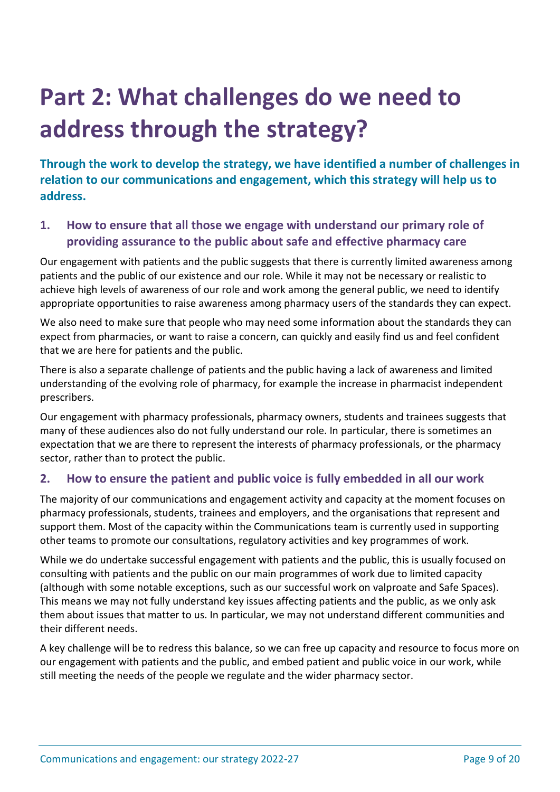# <span id="page-8-0"></span>**Part 2: What challenges do we need to address through the strategy?**

**Through the work to develop the strategy, we have identified a number of challenges in relation to our communications and engagement, which this strategy will help us to address.**

### **1. How to ensure that all those we engage with understand our primary role of providing assurance to the public about safe and effective pharmacy care**

Our engagement with patients and the public suggests that there is currently limited awareness among patients and the public of our existence and our role. While it may not be necessary or realistic to achieve high levels of awareness of our role and work among the general public, we need to identify appropriate opportunities to raise awareness among pharmacy users of the standards they can expect.

We also need to make sure that people who may need some information about the standards they can expect from pharmacies, or want to raise a concern, can quickly and easily find us and feel confident that we are here for patients and the public.

There is also a separate challenge of patients and the public having a lack of awareness and limited understanding of the evolving role of pharmacy, for example the increase in pharmacist independent prescribers.

Our engagement with pharmacy professionals, pharmacy owners, students and trainees suggests that many of these audiences also do not fully understand our role. In particular, there is sometimes an expectation that we are there to represent the interests of pharmacy professionals, or the pharmacy sector, rather than to protect the public.

### **2. How to ensure the patient and public voice is fully embedded in all our work**

The majority of our communications and engagement activity and capacity at the moment focuses on pharmacy professionals, students, trainees and employers, and the organisations that represent and support them. Most of the capacity within the Communications team is currently used in supporting other teams to promote our consultations, regulatory activities and key programmes of work.

While we do undertake successful engagement with patients and the public, this is usually focused on consulting with patients and the public on our main programmes of work due to limited capacity (although with some notable exceptions, such as our successful work on valproate and Safe Spaces). This means we may not fully understand key issues affecting patients and the public, as we only ask them about issues that matter to us. In particular, we may not understand different communities and their different needs.

A key challenge will be to redress this balance, so we can free up capacity and resource to focus more on our engagement with patients and the public, and embed patient and public voice in our work, while still meeting the needs of the people we regulate and the wider pharmacy sector.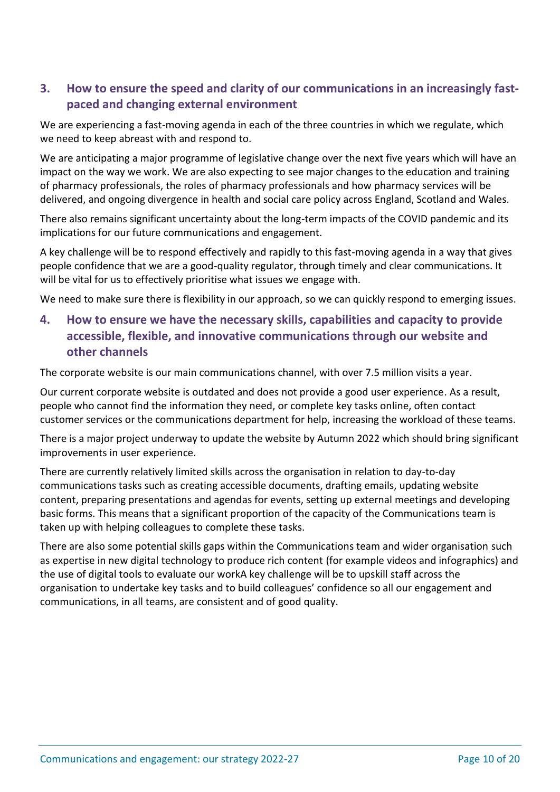## **3. How to ensure the speed and clarity of our communications in an increasingly fastpaced and changing external environment**

We are experiencing a fast-moving agenda in each of the three countries in which we regulate, which we need to keep abreast with and respond to.

We are anticipating a major programme of legislative change over the next five years which will have an impact on the way we work. We are also expecting to see major changes to the education and training of pharmacy professionals, the roles of pharmacy professionals and how pharmacy services will be delivered, and ongoing divergence in health and social care policy across England, Scotland and Wales.

There also remains significant uncertainty about the long-term impacts of the COVID pandemic and its implications for our future communications and engagement.

A key challenge will be to respond effectively and rapidly to this fast-moving agenda in a way that gives people confidence that we are a good-quality regulator, through timely and clear communications. It will be vital for us to effectively prioritise what issues we engage with.

We need to make sure there is flexibility in our approach, so we can quickly respond to emerging issues.

## **4. How to ensure we have the necessary skills, capabilities and capacity to provide accessible, flexible, and innovative communications through our website and other channels**

The corporate website is our main communications channel, with over 7.5 million visits a year.

Our current corporate website is outdated and does not provide a good user experience. As a result, people who cannot find the information they need, or complete key tasks online, often contact customer services or the communications department for help, increasing the workload of these teams.

There is a major project underway to update the website by Autumn 2022 which should bring significant improvements in user experience.

There are currently relatively limited skills across the organisation in relation to day-to-day communications tasks such as creating accessible documents, drafting emails, updating website content, preparing presentations and agendas for events, setting up external meetings and developing basic forms. This means that a significant proportion of the capacity of the Communications team is taken up with helping colleagues to complete these tasks.

<span id="page-9-0"></span>There are also some potential skills gaps within the Communications team and wider organisation such as expertise in new digital technology to produce rich content (for example videos and infographics) and the use of digital tools to evaluate our workA key challenge will be to upskill staff across the organisation to undertake key tasks and to build colleagues' confidence so all our engagement and communications, in all teams, are consistent and of good quality.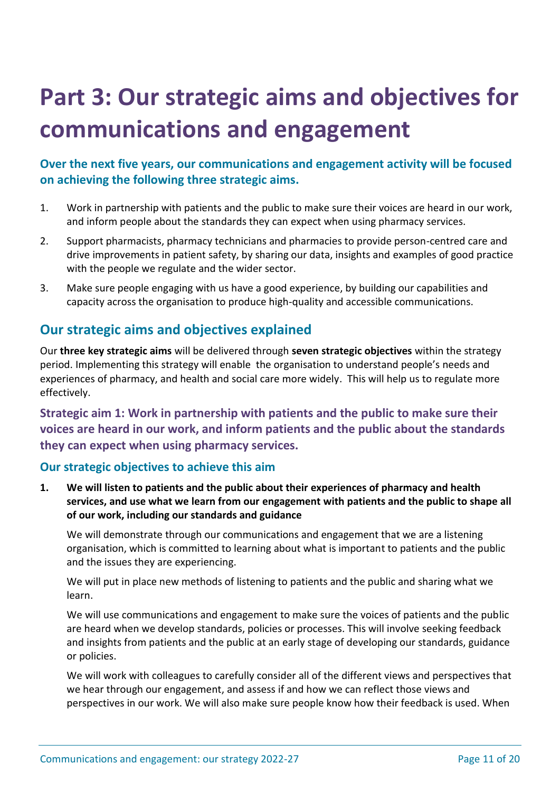# **Part 3: Our strategic aims and objectives for communications and engagement**

## **Over the next five years, our communications and engagement activity will be focused on achieving the following three strategic aims.**

- 1. Work in partnership with patients and the public to make sure their voices are heard in our work, and inform people about the standards they can expect when using pharmacy services.
- 2. Support pharmacists, pharmacy technicians and pharmacies to provide person-centred care and drive improvements in patient safety, by sharing our data, insights and examples of good practice with the people we regulate and the wider sector.
- 3. Make sure people engaging with us have a good experience, by building our capabilities and capacity across the organisation to produce high-quality and accessible communications.

## **Our strategic aims and objectives explained**

Our **three key strategic aims** will be delivered through **seven strategic objectives** within the strategy period. Implementing this strategy will enable the organisation to understand people's needs and experiences of pharmacy, and health and social care more widely. This will help us to regulate more effectively.

**Strategic aim 1: Work in partnership with patients and the public to make sure their voices are heard in our work, and inform patients and the public about the standards they can expect when using pharmacy services.**

### **Our strategic objectives to achieve this aim**

**1. We will listen to patients and the public about their experiences of pharmacy and health services, and use what we learn from our engagement with patients and the public to shape all of our work, including our standards and guidance**

We will demonstrate through our communications and engagement that we are a listening organisation, which is committed to learning about what is important to patients and the public and the issues they are experiencing.

We will put in place new methods of listening to patients and the public and sharing what we learn.

We will use communications and engagement to make sure the voices of patients and the public are heard when we develop standards, policies or processes. This will involve seeking feedback and insights from patients and the public at an early stage of developing our standards, guidance or policies.

We will work with colleagues to carefully consider all of the different views and perspectives that we hear through our engagement, and assess if and how we can reflect those views and perspectives in our work. We will also make sure people know how their feedback is used. When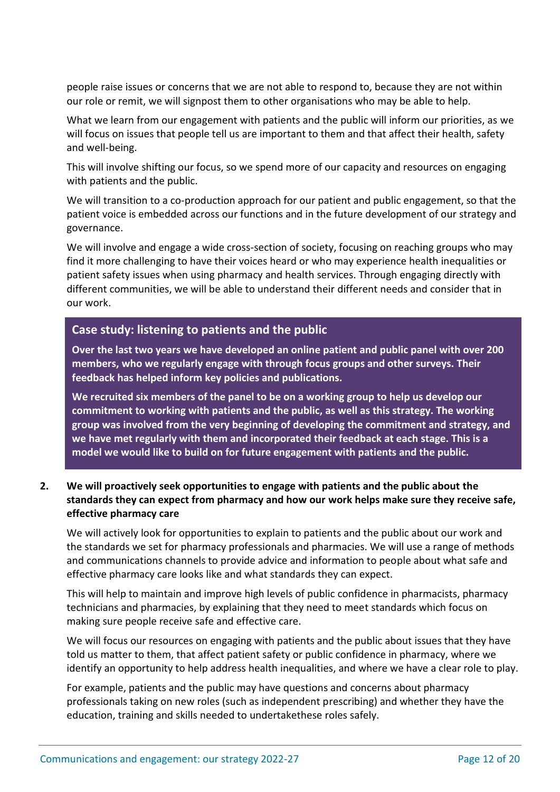people raise issues or concerns that we are not able to respond to, because they are not within our role or remit, we will signpost them to other organisations who may be able to help.

What we learn from our engagement with patients and the public will inform our priorities, as we will focus on issues that people tell us are important to them and that affect their health, safety and well-being.

This will involve shifting our focus, so we spend more of our capacity and resources on engaging with patients and the public.

We will transition to a co-production approach for our patient and public engagement, so that the patient voice is embedded across our functions and in the future development of our strategy and governance.

We will involve and engage a wide cross-section of society, focusing on reaching groups who may find it more challenging to have their voices heard or who may experience health inequalities or patient safety issues when using pharmacy and health services. Through engaging directly with different communities, we will be able to understand their different needs and consider that in our work.

#### **Case study: listening to patients and the public**

**Over the last two years we have developed an online patient and public panel with over 200 members, who we regularly engage with through focus groups and other surveys. Their feedback has helped inform key policies and publications.**

**We recruited six members of the panel to be on a working group to help us develop our commitment to working with patients and the public, as well as this strategy. The working group was involved from the very beginning of developing the commitment and strategy, and we have met regularly with them and incorporated their feedback at each stage. This is a model we would like to build on for future engagement with patients and the public.**

#### **2. We will proactively seek opportunities to engage with patients and the public about the standards they can expect from pharmacy and how our work helps make sure they receive safe, effective pharmacy care**

We will actively look for opportunities to explain to patients and the public about our work and the standards we set for pharmacy professionals and pharmacies. We will use a range of methods and communications channels to provide advice and information to people about what safe and effective pharmacy care looks like and what standards they can expect.

This will help to maintain and improve high levels of public confidence in pharmacists, pharmacy technicians and pharmacies, by explaining that they need to meet standards which focus on making sure people receive safe and effective care.

We will focus our resources on engaging with patients and the public about issues that they have told us matter to them, that affect patient safety or public confidence in pharmacy, where we identify an opportunity to help address health inequalities, and where we have a clear role to play.

For example, patients and the public may have questions and concerns about pharmacy professionals taking on new roles (such as independent prescribing) and whether they have the education, training and skills needed to undertakethese roles safely.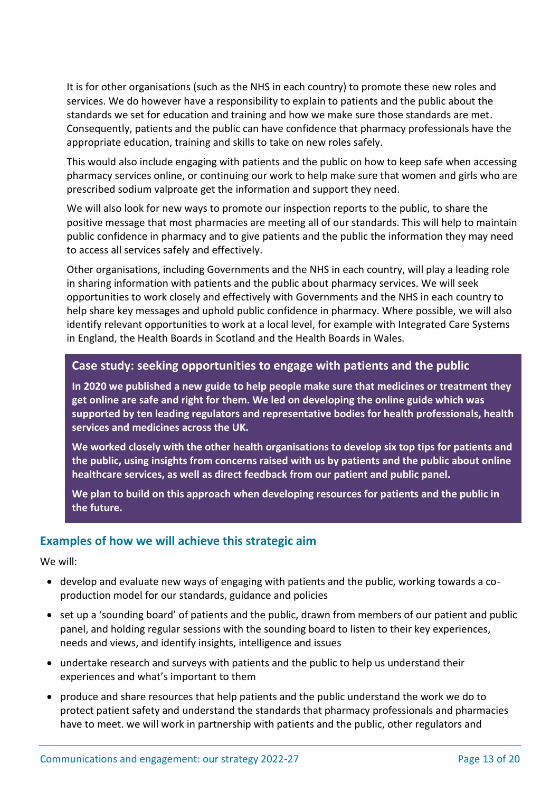It is for other organisations (such as the NHS in each country) to promote these new roles and services. We do however have a responsibility to explain to patients and the public about the standards we set for education and training and how we make sure those standards are met. Consequently, patients and the public can have confidence that pharmacy professionals have the appropriate education, training and skills to take on new roles safely.

This would also include engaging with patients and the public on how to keep safe when accessing pharmacy services online, or continuing our work to help make sure that women and girls who are prescribed sodium valproate get the information and support they need.

We will also look for new ways to promote our inspection reports to the public, to share the positive message that most pharmacies are meeting all of our standards. This will help to maintain public confidence in pharmacy and to give patients and the public the information they may need to access all services safely and effectively.

Other organisations, including Governments and the NHS in each country, will play a leading role in sharing information with patients and the public about pharmacy services. We will seek opportunities to work closely and effectively with Governments and the NHS in each country to help share key messages and uphold public confidence in pharmacy. Where possible, we will also identify relevant opportunities to work at a local level, for example with Integrated Care Systems in England, the Health Boards in Scotland and the Health Boards in Wales.

### **Case study: seeking opportunities to engage with patients and the public**

**In 2020 we published a new guide to help people make sure that medicines or treatment they get online are safe and right for them. We led on developing the online guide which was supported by ten leading regulators and representative bodies for health professionals, health services and medicines across the UK.**

**We worked closely with the other health organisations to develop six top tips for patients and the public, using insights from concerns raised with us by patients and the public about online healthcare services, as well as direct feedback from our patient and public panel.**

**We plan to build on this approach when developing resources for patients and the public in the future.**

#### **Examples of how we will achieve this strategic aim**

We will:

- develop and evaluate new ways of engaging with patients and the public, working towards a coproduction model for our standards, guidance and policies
- set up a 'sounding board' of patients and the public, drawn from members of our patient and public panel, and holding regular sessions with the sounding board to listen to their key experiences, needs and views, and identify insights, intelligence and issues
- undertake research and surveys with patients and the public to help us understand their experiences and what's important to them
- produce and share resources that help patients and the public understand the work we do to protect patient safety and understand the standards that pharmacy professionals and pharmacies have to meet. we will work in partnership with patients and the public, other regulators and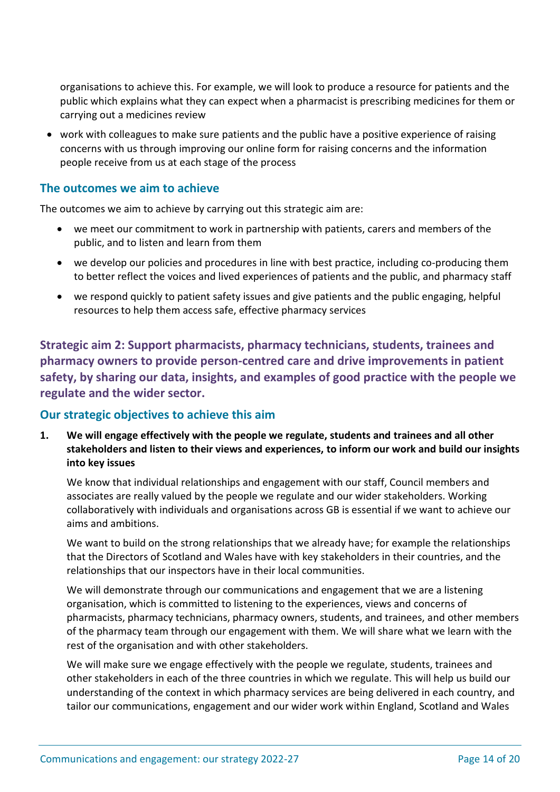organisations to achieve this. For example, we will look to produce a resource for patients and the public which explains what they can expect when a pharmacist is prescribing medicines for them or carrying out a medicines review

• work with colleagues to make sure patients and the public have a positive experience of raising concerns with us through improving our online form for raising concerns and the information people receive from us at each stage of the process

#### **The outcomes we aim to achieve**

The outcomes we aim to achieve by carrying out this strategic aim are:

- we meet our commitment to work in partnership with patients, carers and members of the public, and to listen and learn from them
- we develop our policies and procedures in line with best practice, including co-producing them to better reflect the voices and lived experiences of patients and the public, and pharmacy staff
- we respond quickly to patient safety issues and give patients and the public engaging, helpful resources to help them access safe, effective pharmacy services

**Strategic aim 2: Support pharmacists, pharmacy technicians, students, trainees and pharmacy owners to provide person-centred care and drive improvements in patient safety, by sharing our data, insights, and examples of good practice with the people we regulate and the wider sector.**

### **Our strategic objectives to achieve this aim**

**1. We will engage effectively with the people we regulate, students and trainees and all other stakeholders and listen to their views and experiences, to inform our work and build our insights into key issues** 

We know that individual relationships and engagement with our staff, Council members and associates are really valued by the people we regulate and our wider stakeholders. Working collaboratively with individuals and organisations across GB is essential if we want to achieve our aims and ambitions.

We want to build on the strong relationships that we already have; for example the relationships that the Directors of Scotland and Wales have with key stakeholders in their countries, and the relationships that our inspectors have in their local communities.

We will demonstrate through our communications and engagement that we are a listening organisation, which is committed to listening to the experiences, views and concerns of pharmacists, pharmacy technicians, pharmacy owners, students, and trainees, and other members of the pharmacy team through our engagement with them. We will share what we learn with the rest of the organisation and with other stakeholders.

We will make sure we engage effectively with the people we regulate, students, trainees and other stakeholders in each of the three countries in which we regulate. This will help us build our understanding of the context in which pharmacy services are being delivered in each country, and tailor our communications, engagement and our wider work within England, Scotland and Wales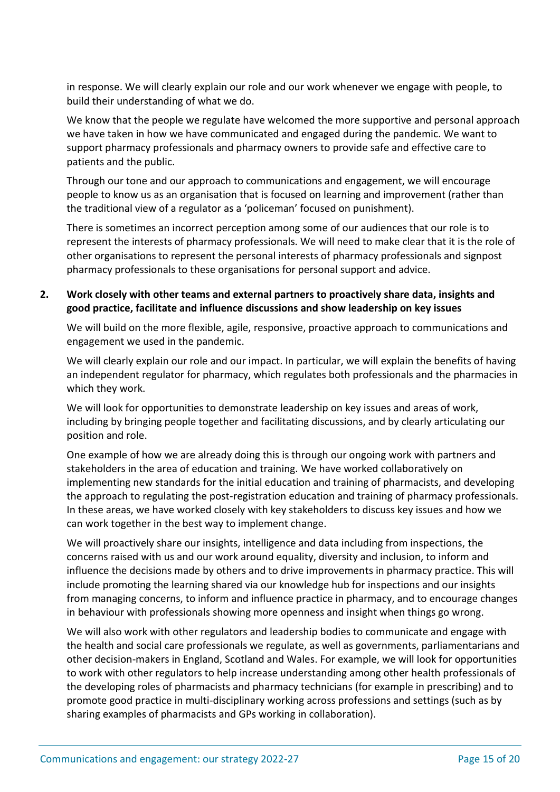in response. We will clearly explain our role and our work whenever we engage with people, to build their understanding of what we do.

We know that the people we regulate have welcomed the more supportive and personal approach we have taken in how we have communicated and engaged during the pandemic. We want to support pharmacy professionals and pharmacy owners to provide safe and effective care to patients and the public.

Through our tone and our approach to communications and engagement, we will encourage people to know us as an organisation that is focused on learning and improvement (rather than the traditional view of a regulator as a 'policeman' focused on punishment).

There is sometimes an incorrect perception among some of our audiences that our role is to represent the interests of pharmacy professionals. We will need to make clear that it is the role of other organisations to represent the personal interests of pharmacy professionals and signpost pharmacy professionals to these organisations for personal support and advice.

#### **2. Work closely with other teams and external partners to proactively share data, insights and good practice, facilitate and influence discussions and show leadership on key issues**

We will build on the more flexible, agile, responsive, proactive approach to communications and engagement we used in the pandemic.

We will clearly explain our role and our impact. In particular, we will explain the benefits of having an independent regulator for pharmacy, which regulates both professionals and the pharmacies in which they work.

We will look for opportunities to demonstrate leadership on key issues and areas of work, including by bringing people together and facilitating discussions, and by clearly articulating our position and role.

One example of how we are already doing this is through our ongoing work with partners and stakeholders in the area of education and training. We have worked collaboratively on implementing new standards for the initial education and training of pharmacists, and developing the approach to regulating the post-registration education and training of pharmacy professionals. In these areas, we have worked closely with key stakeholders to discuss key issues and how we can work together in the best way to implement change.

We will proactively share our insights, intelligence and data including from inspections, the concerns raised with us and our work around equality, diversity and inclusion, to inform and influence the decisions made by others and to drive improvements in pharmacy practice. This will include promoting the learning shared via our knowledge hub for inspections and our insights from managing concerns, to inform and influence practice in pharmacy, and to encourage changes in behaviour with professionals showing more openness and insight when things go wrong.

We will also work with other regulators and leadership bodies to communicate and engage with the health and social care professionals we regulate, as well as governments, parliamentarians and other decision-makers in England, Scotland and Wales. For example, we will look for opportunities to work with other regulators to help increase understanding among other health professionals of the developing roles of pharmacists and pharmacy technicians (for example in prescribing) and to promote good practice in multi-disciplinary working across professions and settings (such as by sharing examples of pharmacists and GPs working in collaboration).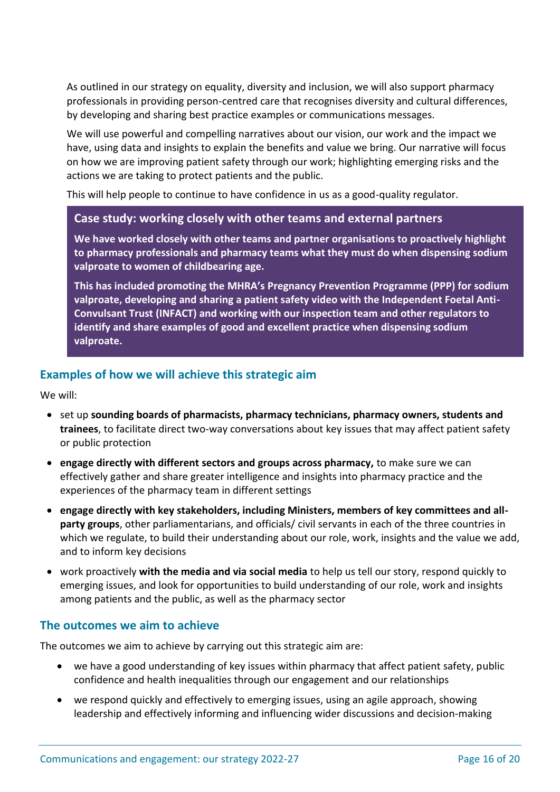As outlined in our strategy on equality, diversity and inclusion, we will also support pharmacy professionals in providing person-centred care that recognises diversity and cultural differences, by developing and sharing best practice examples or communications messages.

We will use powerful and compelling narratives about our vision, our work and the impact we have, using data and insights to explain the benefits and value we bring. Our narrative will focus on how we are improving patient safety through our work; highlighting emerging risks and the actions we are taking to protect patients and the public.

This will help people to continue to have confidence in us as a good-quality regulator.

#### **Case study: working closely with other teams and external partners**

**We have worked closely with other teams and partner organisations to proactively highlight to pharmacy professionals and pharmacy teams what they must do when dispensing sodium valproate to women of childbearing age.** 

**This has included promoting the MHRA's Pregnancy Prevention Programme (PPP) for sodium valproate, developing and sharing a patient safety video with the Independent Foetal Anti-Convulsant Trust (INFACT) and working with our inspection team and other regulators to identify and share examples of good and excellent practice when dispensing sodium valproate.**

#### **Examples of how we will achieve this strategic aim**

We will:

- set up **sounding boards of pharmacists, pharmacy technicians, pharmacy owners, students and trainees**, to facilitate direct two-way conversations about key issues that may affect patient safety or public protection
- **engage directly with different sectors and groups across pharmacy,** to make sure we can effectively gather and share greater intelligence and insights into pharmacy practice and the experiences of the pharmacy team in different settings
- **engage directly with key stakeholders, including Ministers, members of key committees and allparty groups**, other parliamentarians, and officials/ civil servants in each of the three countries in which we regulate, to build their understanding about our role, work, insights and the value we add, and to inform key decisions
- work proactively **with the media and via social media** to help us tell our story, respond quickly to emerging issues, and look for opportunities to build understanding of our role, work and insights among patients and the public, as well as the pharmacy sector

### **The outcomes we aim to achieve**

The outcomes we aim to achieve by carrying out this strategic aim are:

- we have a good understanding of key issues within pharmacy that affect patient safety, public confidence and health inequalities through our engagement and our relationships
- we respond quickly and effectively to emerging issues, using an agile approach, showing leadership and effectively informing and influencing wider discussions and decision-making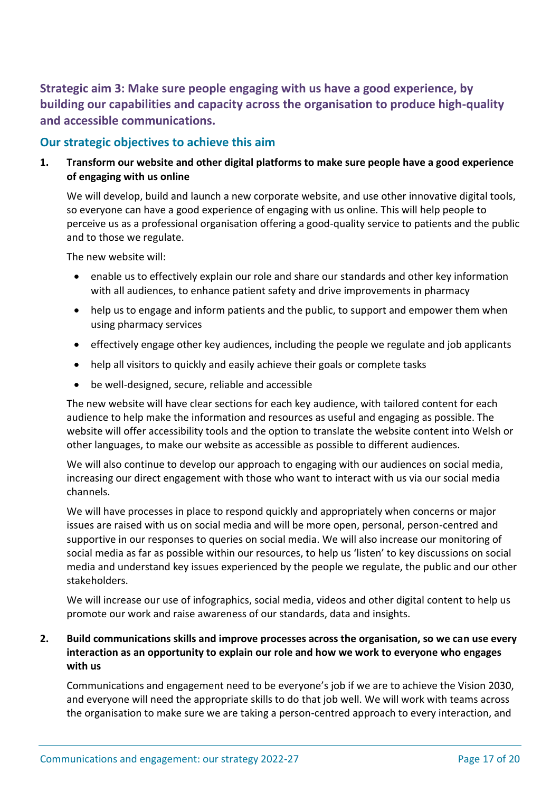**Strategic aim 3: Make sure people engaging with us have a good experience, by building our capabilities and capacity across the organisation to produce high-quality and accessible communications.**

### **Our strategic objectives to achieve this aim**

**1. Transform our website and other digital platforms to make sure people have a good experience of engaging with us online**

We will develop, build and launch a new corporate website, and use other innovative digital tools, so everyone can have a good experience of engaging with us online. This will help people to perceive us as a professional organisation offering a good-quality service to patients and the public and to those we regulate.

The new website will:

- enable us to effectively explain our role and share our standards and other key information with all audiences, to enhance patient safety and drive improvements in pharmacy
- help us to engage and inform patients and the public, to support and empower them when using pharmacy services
- effectively engage other key audiences, including the people we regulate and job applicants
- help all visitors to quickly and easily achieve their goals or complete tasks
- be well-designed, secure, reliable and accessible

The new website will have clear sections for each key audience, with tailored content for each audience to help make the information and resources as useful and engaging as possible. The website will offer accessibility tools and the option to translate the website content into Welsh or other languages, to make our website as accessible as possible to different audiences.

We will also continue to develop our approach to engaging with our audiences on social media, increasing our direct engagement with those who want to interact with us via our social media channels.

We will have processes in place to respond quickly and appropriately when concerns or major issues are raised with us on social media and will be more open, personal, person-centred and supportive in our responses to queries on social media. We will also increase our monitoring of social media as far as possible within our resources, to help us 'listen' to key discussions on social media and understand key issues experienced by the people we regulate, the public and our other stakeholders.

We will increase our use of infographics, social media, videos and other digital content to help us promote our work and raise awareness of our standards, data and insights.

#### **2. Build communications skills and improve processes across the organisation, so we can use every interaction as an opportunity to explain our role and how we work to everyone who engages with us**

Communications and engagement need to be everyone's job if we are to achieve the Vision 2030, and everyone will need the appropriate skills to do that job well. We will work with teams across the organisation to make sure we are taking a person-centred approach to every interaction, and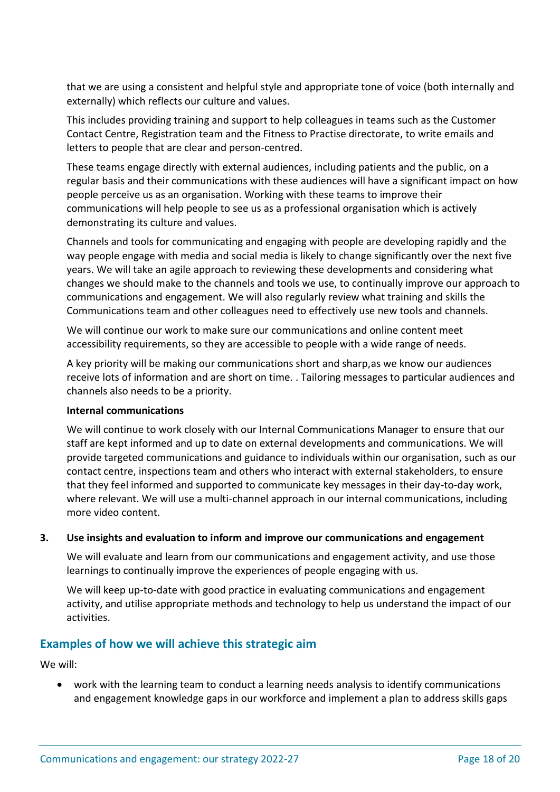that we are using a consistent and helpful style and appropriate tone of voice (both internally and externally) which reflects our culture and values.

This includes providing training and support to help colleagues in teams such as the Customer Contact Centre, Registration team and the Fitness to Practise directorate, to write emails and letters to people that are clear and person-centred.

These teams engage directly with external audiences, including patients and the public, on a regular basis and their communications with these audiences will have a significant impact on how people perceive us as an organisation. Working with these teams to improve their communications will help people to see us as a professional organisation which is actively demonstrating its culture and values.

Channels and tools for communicating and engaging with people are developing rapidly and the way people engage with media and social media is likely to change significantly over the next five years. We will take an agile approach to reviewing these developments and considering what changes we should make to the channels and tools we use, to continually improve our approach to communications and engagement. We will also regularly review what training and skills the Communications team and other colleagues need to effectively use new tools and channels.

We will continue our work to make sure our communications and online content meet accessibility requirements, so they are accessible to people with a wide range of needs.

A key priority will be making our communications short and sharp,as we know our audiences receive lots of information and are short on time. . Tailoring messages to particular audiences and channels also needs to be a priority.

#### **Internal communications**

We will continue to work closely with our Internal Communications Manager to ensure that our staff are kept informed and up to date on external developments and communications. We will provide targeted communications and guidance to individuals within our organisation, such as our contact centre, inspections team and others who interact with external stakeholders, to ensure that they feel informed and supported to communicate key messages in their day-to-day work, where relevant. We will use a multi-channel approach in our internal communications, including more video content.

#### **3. Use insights and evaluation to inform and improve our communications and engagement**

We will evaluate and learn from our communications and engagement activity, and use those learnings to continually improve the experiences of people engaging with us.

We will keep up-to-date with good practice in evaluating communications and engagement activity, and utilise appropriate methods and technology to help us understand the impact of our activities.

### **Examples of how we will achieve this strategic aim**

We will:

• work with the learning team to conduct a learning needs analysis to identify communications and engagement knowledge gaps in our workforce and implement a plan to address skills gaps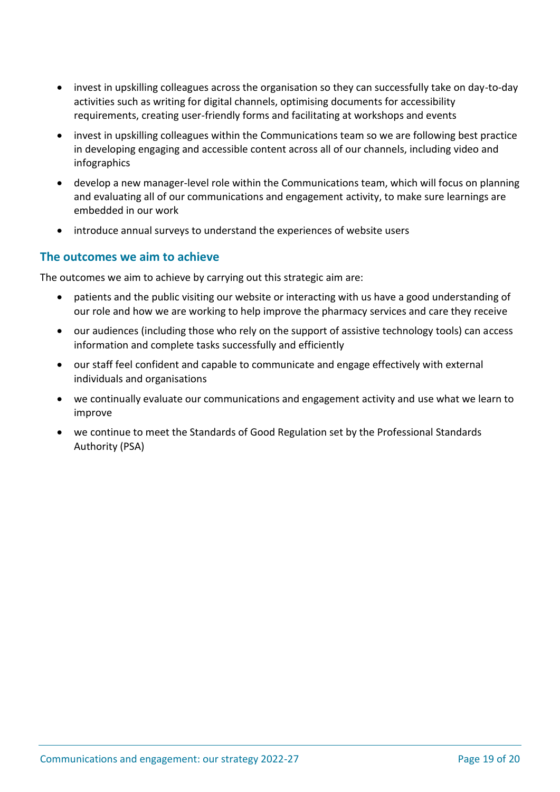- invest in upskilling colleagues across the organisation so they can successfully take on day-to-day activities such as writing for digital channels, optimising documents for accessibility requirements, creating user-friendly forms and facilitating at workshops and events
- invest in upskilling colleagues within the Communications team so we are following best practice in developing engaging and accessible content across all of our channels, including video and infographics
- develop a new manager-level role within the Communications team, which will focus on planning and evaluating all of our communications and engagement activity, to make sure learnings are embedded in our work
- introduce annual surveys to understand the experiences of website users

#### **The outcomes we aim to achieve**

The outcomes we aim to achieve by carrying out this strategic aim are:

- patients and the public visiting our website or interacting with us have a good understanding of our role and how we are working to help improve the pharmacy services and care they receive
- our audiences (including those who rely on the support of assistive technology tools) can access information and complete tasks successfully and efficiently
- our staff feel confident and capable to communicate and engage effectively with external individuals and organisations
- we continually evaluate our communications and engagement activity and use what we learn to improve
- we continue to meet the Standards of Good Regulation set by the Professional Standards Authority (PSA)